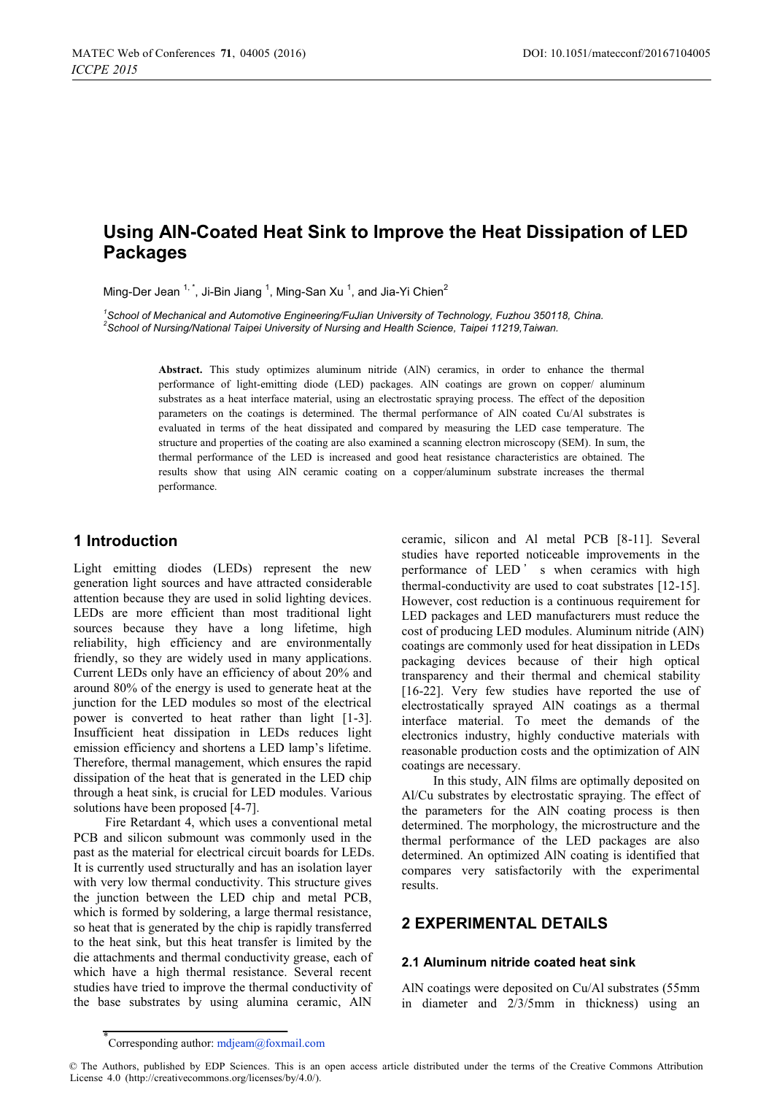# **Using AlN-Coated Heat Sink to Improve the Heat Dissipation of LED Packages**

Ming-Der Jean  $1, 1$ , Ji-Bin Jiang  $1$ , Ming-San Xu  $1$ , and Jia-Yi Chien<sup>2</sup>

<sup>1</sup> School of Mechanical and Automotive Engineering/FuJian University of Technology, Fuzhou 350118, China.<br><sup>2</sup> School of Nurging Notional Tejnei University of Nurging and Hoelth Science, Tejnei 11910 Tejwan. *School of Nursing/National Taipei University of Nursing and Health Science, Taipei 11219,Taiwan.* 

> **Abstract.** This study optimizes aluminum nitride (AlN) ceramics, in order to enhance the thermal performance of light-emitting diode (LED) packages. AlN coatings are grown on copper/ aluminum substrates as a heat interface material, using an electrostatic spraying process. The effect of the deposition parameters on the coatings is determined. The thermal performance of AlN coated Cu/Al substrates is evaluated in terms of the heat dissipated and compared by measuring the LED case temperature. The structure and properties of the coating are also examined a scanning electron microscopy (SEM). In sum, the thermal performance of the LED is increased and good heat resistance characteristics are obtained. The results show that using AlN ceramic coating on a copper/aluminum substrate increases the thermal performance.

# **1 Introduction**

Light emitting diodes (LEDs) represent the new generation light sources and have attracted considerable attention because they are used in solid lighting devices. LEDs are more efficient than most traditional light sources because they have a long lifetime, high reliability, high efficiency and are environmentally friendly, so they are widely used in many applications. Current LEDs only have an efficiency of about 20% and around 80% of the energy is used to generate heat at the junction for the LED modules so most of the electrical power is converted to heat rather than light [1-3]. Insufficient heat dissipation in LEDs reduces light emission efficiency and shortens a LED lamp's lifetime. Therefore, thermal management, which ensures the rapid dissipation of the heat that is generated in the LED chip through a heat sink, is crucial for LED modules. Various solutions have been proposed [4-7].

 Fire Retardant 4, which uses a conventional metal PCB and silicon submount was commonly used in the past as the material for electrical circuit boards for LEDs. It is currently used structurally and has an isolation layer with very low thermal conductivity. This structure gives the junction between the LED chip and metal PCB, which is formed by soldering, a large thermal resistance, so heat that is generated by the chip is rapidly transferred to the heat sink, but this heat transfer is limited by the die attachments and thermal conductivity grease, each of which have a high thermal resistance. Several recent studies have tried to improve the thermal conductivity of the base substrates by using alumina ceramic, AlN

ceramic, silicon and Al metal PCB [8-11]. Several studies have reported noticeable improvements in the performance of LED' s when ceramics with high thermal-conductivity are used to coat substrates [12-15]. However, cost reduction is a continuous requirement for LED packages and LED manufacturers must reduce the cost of producing LED modules. Aluminum nitride (AlN) coatings are commonly used for heat dissipation in LEDs packaging devices because of their high optical transparency and their thermal and chemical stability [16-22]. Very few studies have reported the use of electrostatically sprayed AlN coatings as a thermal interface material. To meet the demands of the electronics industry, highly conductive materials with reasonable production costs and the optimization of AlN coatings are necessary.

 In this study, AlN films are optimally deposited on Al/Cu substrates by electrostatic spraying. The effect of the parameters for the AlN coating process is then determined. The morphology, the microstructure and the thermal performance of the LED packages are also determined. An optimized AlN coating is identified that compares very satisfactorily with the experimental results.

# **2 EXPERIMENTAL DETAILS**

#### **2.1 Aluminum nitride coated heat sink**

AlN coatings were deposited on Cu/Al substrates (55mm in diameter and 2/3/5mm in thickness) using an

<sup>\*</sup> Corresponding author: mdjeam@foxmail.com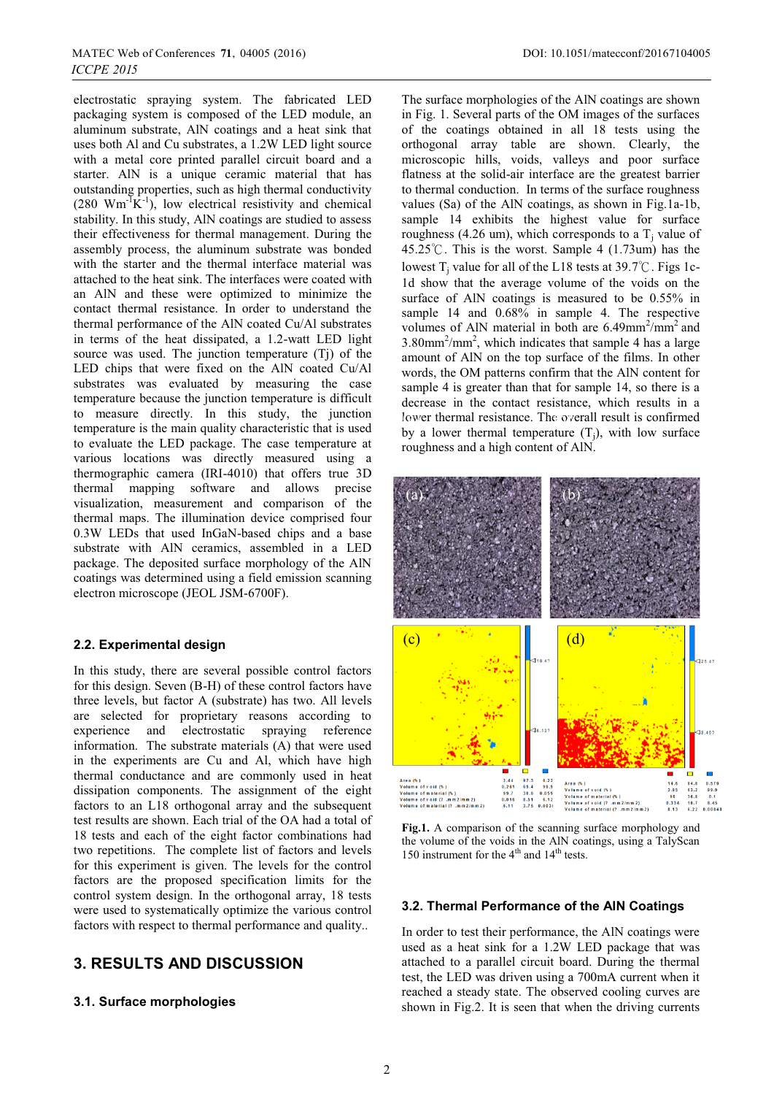electrostatic spraying system. The fabricated LED packaging system is composed of the LED module, an aluminum substrate, AlN coatings and a heat sink that uses both Al and Cu substrates, a 1.2W LED light source with a metal core printed parallel circuit board and a starter. AlN is a unique ceramic material that has outstanding properties, such as high thermal conductivity  $(280 \text{ Wm}^{-1}\text{K}^{-1})$ , low electrical resistivity and chemical stability. In this study, AlN coatings are studied to assess their effectiveness for thermal management. During the assembly process, the aluminum substrate was bonded with the starter and the thermal interface material was attached to the heat sink. The interfaces were coated with an AlN and these were optimized to minimize the contact thermal resistance. In order to understand the thermal performance of the AlN coated Cu/Al substrates in terms of the heat dissipated, a 1.2-watt LED light source was used. The junction temperature (Tj) of the LED chips that were fixed on the AlN coated Cu/Al substrates was evaluated by measuring the case temperature because the junction temperature is difficult to measure directly. In this study, the junction temperature is the main quality characteristic that is used to evaluate the LED package. The case temperature at various locations was directly measured using a thermographic camera (IRI-4010) that offers true 3D thermal mapping software and allows precise visualization, measurement and comparison of the thermal maps. The illumination device comprised four 0.3W LEDs that used InGaN-based chips and a base substrate with AlN ceramics, assembled in a LED package. The deposited surface morphology of the AlN coatings was determined using a field emission scanning electron microscope (JEOL JSM-6700F).

### **2.2. Experimental design**

In this study, there are several possible control factors for this design. Seven (B-H) of these control factors have three levels, but factor A (substrate) has two. All levels are selected for proprietary reasons according to experience and electrostatic spraying reference information. The substrate materials (A) that were used in the experiments are Cu and Al, which have high thermal conductance and are commonly used in heat dissipation components. The assignment of the eight factors to an L18 orthogonal array and the subsequent test results are shown. Each trial of the OA had a total of 18 tests and each of the eight factor combinations had two repetitions. The complete list of factors and levels for this experiment is given. The levels for the control factors are the proposed specification limits for the control system design. In the orthogonal array, 18 tests were used to systematically optimize the various control factors with respect to thermal performance and quality..

# **3. RESULTS AND DISCUSSION**

# **3.1. Surface morphologies**

The surface morphologies of the AlN coatings are shown in Fig. 1. Several parts of the OM images of the surfaces of the coatings obtained in all 18 tests using the orthogonal array table are shown. Clearly, the microscopic hills, voids, valleys and poor surface flatness at the solid-air interface are the greatest barrier to thermal conduction. In terms of the surface roughness values (Sa) of the AlN coatings, as shown in Fig.1a-1b, sample 14 exhibits the highest value for surface roughness (4.26 um), which corresponds to a  $T_i$  value of 45.25°C. This is the worst. Sample 4 (1.73um) has the lowest T<sub>i</sub> value for all of the L18 tests at  $39.7^{\circ}$ C. Figs 1c-1d show that the average volume of the voids on the surface of AlN coatings is measured to be 0.55% in sample 14 and  $0.68\%$  in sample 4. The respective volumes of AlN material in both are  $6.49$ mm<sup>2</sup>/mm<sup>2</sup> and  $3.80$ mm<sup>2</sup>/mm<sup>2</sup>, which indicates that sample 4 has a large amount of AlN on the top surface of the films. In other words, the OM patterns confirm that the AlN content for sample 4 is greater than that for sample 14, so there is a decrease in the contact resistance, which results in a lower thermal resistance. The overall result is confirmed by a lower thermal temperature  $(T_i)$ , with low surface roughness and a high content of AlN.



**Fig.1.** A comparison of the scanning surface morphology and the volume of the voids in the AlN coatings, using a TalyScan 150 instrument for the  $4<sup>th</sup>$  and  $14<sup>th</sup>$  tests.

#### **3.2. Thermal Performance of the AlN Coatings**

In order to test their performance, the AlN coatings were used as a heat sink for a 1.2W LED package that was attached to a parallel circuit board. During the thermal test, the LED was driven using a 700mA current when it reached a steady state. The observed cooling curves are shown in Fig.2. It is seen that when the driving currents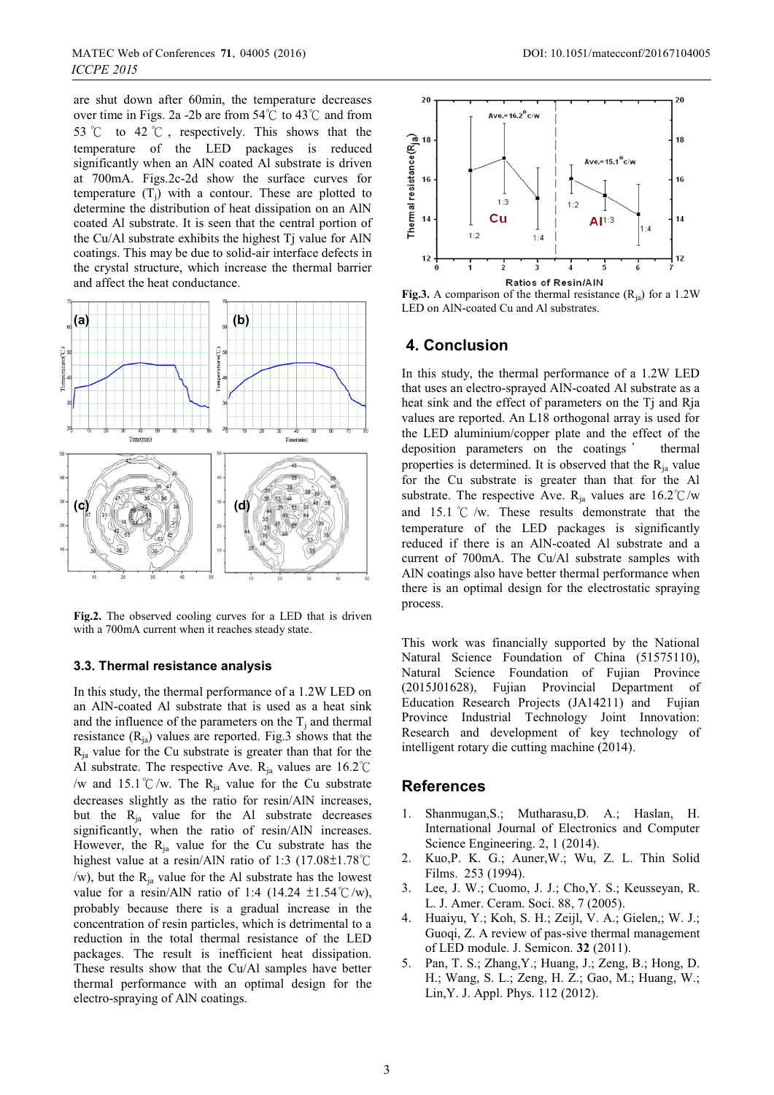are shut down after 60min, the temperature decreases over time in Figs. 2a -2b are from  $54^{\circ}$ C to  $43^{\circ}$ C and from 53  $\degree$ C to 42  $\degree$ C, respectively. This shows that the temperature of the LED packages is reduced significantly when an AlN coated Al substrate is driven at 700mA. Figs.2c-2d show the surface curves for temperature  $(T_i)$  with a contour. These are plotted to determine the distribution of heat dissipation on an AlN coated Al substrate. It is seen that the central portion of the Cu/Al substrate exhibits the highest Tj value for AlN coatings. This may be due to solid-air interface defects in the crystal structure, which increase the thermal barrier and affect the heat conductance.



**Fig.2.** The observed cooling curves for a LED that is driven with a 700mA current when it reaches steady state.

### **3.3. Thermal resistance analysis**

In this study, the thermal performance of a 1.2W LED on an AlN-coated Al substrate that is used as a heat sink and the influence of the parameters on the  $T_i$  and thermal resistance  $(R_{ia})$  values are reported. Fig.3 shows that the  $R_{ia}$  value for the Cu substrate is greater than that for the Al substrate. The respective Ave.  $R_{ia}$  values are 16.2°C /w and 15.1 °C/w. The R<sub>ia</sub> value for the Cu substrate decreases slightly as the ratio for resin/AlN increases, but the  $R_{ja}$  value for the Al substrate decreases significantly, when the ratio of resin/AlN increases. However, the  $R_{ia}$  value for the Cu substrate has the highest value at a resin/AlN ratio of 1:3 (17.08 $\pm$ 1.78 $\degree$ C /w), but the  $R_{ia}$  value for the Al substrate has the lowest value for a resin/AlN ratio of 1:4 (14.24  $\pm$ 1.54°C/w), probably because there is a gradual increase in the concentration of resin particles, which is detrimental to a reduction in the total thermal resistance of the LED packages. The result is inefficient heat dissipation. These results show that the Cu/Al samples have better thermal performance with an optimal design for the electro-spraying of AlN coatings.



**Fig.3.** A comparison of the thermal resistance  $(R_{ia})$  for a 1.2W LED on AlN-coated Cu and Al substrates.

### **4. Conclusion**

In this study, the thermal performance of a 1.2W LED that uses an electro-sprayed AlN-coated Al substrate as a heat sink and the effect of parameters on the Tj and Rja values are reported. An L18 orthogonal array is used for the LED aluminium/copper plate and the effect of the deposition parameters on the coatings thermal properties is determined. It is observed that the  $R_{ia}$  value for the Cu substrate is greater than that for the Al substrate. The respective Ave. R<sub>ja</sub> values are  $16.2^{\circ}$ C/w and 15.1  $\degree$ C /w. These results demonstrate that the temperature of the LED packages is significantly reduced if there is an AlN-coated Al substrate and a current of 700mA. The Cu/Al substrate samples with AlN coatings also have better thermal performance when there is an optimal design for the electrostatic spraying process.

This work was financially supported by the National Natural Science Foundation of China (51575110), Natural Science Foundation of Fujian Province (2015J01628), Fujian Provincial Department of Education Research Projects (JA14211) and Fujian Province Industrial Technology Joint Innovation: Research and development of key technology of intelligent rotary die cutting machine (2014).

#### **References**

- 1. Shanmugan,S.; Mutharasu,D. A.; Haslan, H. International Journal of Electronics and Computer Science Engineering. 2, 1 (2014).
- 2. Kuo,P. K. G.; Auner,W.; Wu, Z. L. Thin Solid Films. 253 (1994).
- 3. Lee, J. W.; Cuomo, J. J.; Cho,Y. S.; Keusseyan, R. L. J. Amer. Ceram. Soci. 88, 7 (2005).
- 4. Huaiyu, Y.; Koh, S. H.; Zeijl, V. A.; Gielen,; W. J.; Guoqi, Z. A review of pas-sive thermal management of LED module. J. Semicon. **32** (2011).
- 5. Pan, T. S.; Zhang,Y.; Huang, J.; Zeng, B.; Hong, D. H.; Wang, S. L.; Zeng, H. Z.; Gao, M.; Huang, W.; Lin,Y. J. Appl. Phys. 112 (2012).